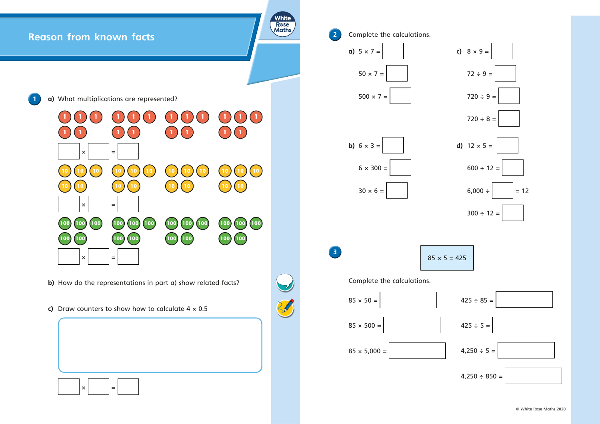

© White Rose Maths 2020